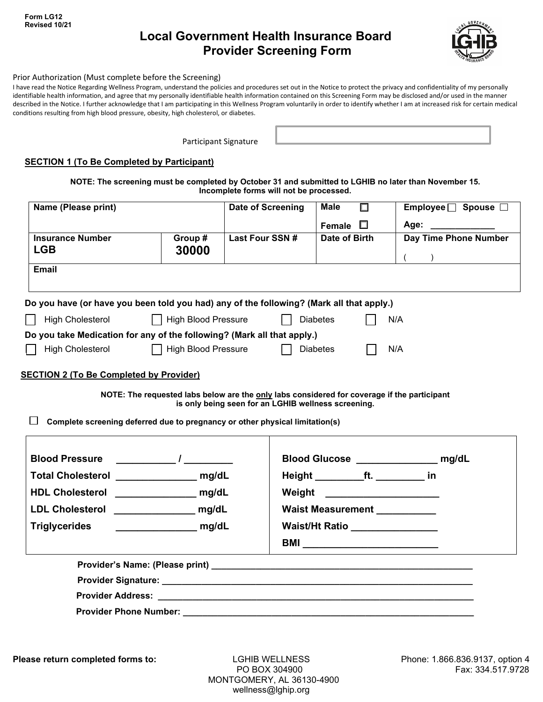**Form LG12 Revised 10/21**

# **Local Government Health Insurance Board Provider Screening Form**



### Prior Authorization (Must complete before the Screening)

I have read the Notice Regarding Wellness Program, understand the policies and procedures set out in the Notice to protect the privacy and confidentiality of my personally identifiable health information, and agree that my personally identifiable health information contained on this Screening Form may be disclosed and/or used in the manner described in the Notice. I further acknowledge that I am participating in this Wellness Program voluntarily in order to identify whether I am at increased risk for certain medical conditions resulting from high blood pressure, obesity, high cholesterol, or diabetes.

Participant Signature

#### **SECTION 1 (To Be Completed by Participant)**

**NOTE: The screening must be completed by October 31 and submitted to LGHIB no later than November 15. Incomplete forms will not be processed.**

| Name (Please print)                                                                      |                            | Date of Screening                                                                                                                                  | Male<br>П                             | Employee □ Spouse □                     |
|------------------------------------------------------------------------------------------|----------------------------|----------------------------------------------------------------------------------------------------------------------------------------------------|---------------------------------------|-----------------------------------------|
|                                                                                          |                            |                                                                                                                                                    | П<br><b>Female</b>                    | Age: ____________                       |
| <b>Insurance Number</b>                                                                  | Group#                     | Last Four SSN #                                                                                                                                    | Date of Birth                         | Day Time Phone Number                   |
| <b>LGB</b>                                                                               | 30000                      |                                                                                                                                                    |                                       | $\sqrt{2}$<br>$\rightarrow$             |
| <b>Email</b>                                                                             |                            |                                                                                                                                                    |                                       |                                         |
| Do you have (or have you been told you had) any of the following? (Mark all that apply.) |                            |                                                                                                                                                    |                                       |                                         |
| <b>High Cholesterol</b>                                                                  | <b>High Blood Pressure</b> |                                                                                                                                                    | <b>Diabetes</b>                       | N/A                                     |
| Do you take Medication for any of the following? (Mark all that apply.)                  |                            |                                                                                                                                                    |                                       |                                         |
| <b>High Cholesterol</b>                                                                  |                            | High Blood Pressure                                                                                                                                | Diabetes                              | N/A                                     |
| <b>SECTION 2 (To Be Completed by Provider)</b>                                           |                            |                                                                                                                                                    |                                       |                                         |
|                                                                                          |                            |                                                                                                                                                    |                                       |                                         |
|                                                                                          |                            | NOTE: The requested labs below are the only labs considered for coverage if the participant<br>is only being seen for an LGHIB wellness screening. |                                       |                                         |
| Complete screening deferred due to pregnancy or other physical limitation(s)             |                            |                                                                                                                                                    |                                       |                                         |
|                                                                                          |                            |                                                                                                                                                    |                                       |                                         |
|                                                                                          |                            |                                                                                                                                                    |                                       |                                         |
| <b>Blood Pressure</b>                                                                    | $\frac{1}{2}$              |                                                                                                                                                    |                                       | Blood Glucose ___________________ mg/dL |
| Total Cholesterol ___________________ mg/dL                                              |                            |                                                                                                                                                    | Height ____________ft. ___________ in |                                         |
| HDL Cholesterol ________________ mg/dL                                                   |                            |                                                                                                                                                    | Weight _____________________          |                                         |
| LDL Cholesterol mg/dL                                                                    |                            |                                                                                                                                                    | Waist Measurement                     |                                         |
| <b>Triglycerides</b>                                                                     | <u>mg/dL</u>               |                                                                                                                                                    |                                       |                                         |
|                                                                                          |                            |                                                                                                                                                    | Waist/Ht Ratio _________________      |                                         |
|                                                                                          |                            |                                                                                                                                                    |                                       |                                         |
|                                                                                          |                            |                                                                                                                                                    |                                       |                                         |

**Provider Phone Number: \_\_\_\_\_\_\_\_\_\_\_\_\_\_\_\_\_\_\_\_\_\_\_\_\_\_\_\_\_\_\_\_\_\_\_\_\_\_\_\_\_\_\_\_\_\_\_\_\_\_\_\_\_\_\_\_\_\_\_**

**Please return completed forms to:** LGHIB WELLNESS Phone: 1.866.836.9137, option 4

 MONTGOMERY, AL 36130-4900 wellness@lghip.org

PO BOX 304900 Fax: 334.517.9728